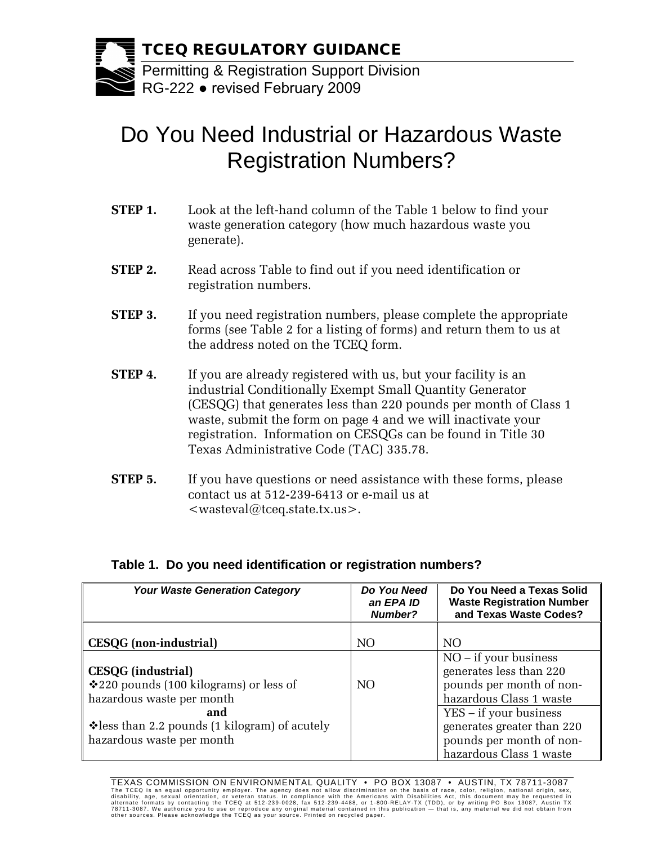

# Do You Need Industrial or Hazardous Waste Registration Numbers?

- **STEP 1.** Look at the left-hand column of the Table 1 below to find your waste generation category (how much hazardous waste you generate).
- **STEP 2.** Read across Table to find out if you need identification or registration numbers.
- **STEP 3.** If you need registration numbers, please complete the appropriate forms (see Table 2 for a listing of forms) and return them to us at the address noted on the TCEQ form.
- **STEP 4.** If you are already registered with us, but your facility is an industrial Conditionally Exempt Small Quantity Generator (CESQG) that generates less than 220 pounds per month of Class 1 waste, submit the form on page 4 and we will inactivate your registration. Information on CESQGs can be found in Title 30 Texas Administrative Code (TAC) 335.78.
- **STEP 5.** If you have questions or need assistance with these forms, please contact us at 512-239-6413 or e-mail us at <wasteval@tceq.state.tx.us>.

| <b>Your Waste Generation Category</b>                                                             | Do You Need<br>an EPA ID<br><b>Number?</b> | Do You Need a Texas Solid<br><b>Waste Registration Number</b><br>and Texas Waste Codes?                     |
|---------------------------------------------------------------------------------------------------|--------------------------------------------|-------------------------------------------------------------------------------------------------------------|
| <b>CESQG</b> (non-industrial)                                                                     | NO                                         | NO <sub>1</sub>                                                                                             |
| <b>CESQG</b> (industrial)<br>❖ 220 pounds (100 kilograms) or less of<br>hazardous waste per month | NO.                                        | $NO - if your business$<br>generates less than 220<br>pounds per month of non-<br>hazardous Class 1 waste   |
| and<br>Vess than 2.2 pounds (1 kilogram) of acutely<br>hazardous waste per month                  |                                            | YES – if your business<br>generates greater than 220<br>pounds per month of non-<br>hazardous Class 1 waste |

# **Table 1. Do you need identification or registration numbers?**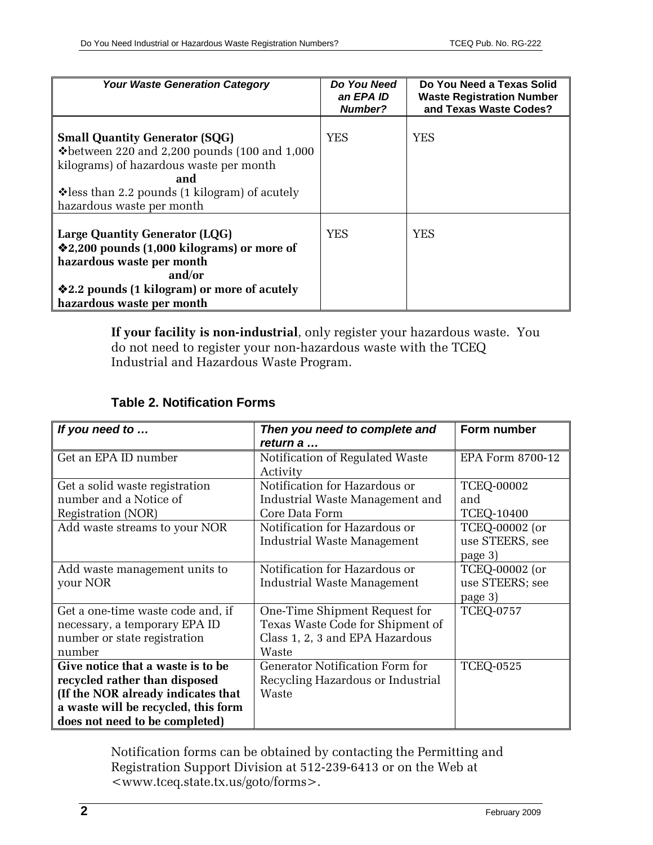| <b>Your Waste Generation Category</b>                                                                                                                                                                                                                         | Do You Need<br>an EPA ID<br><b>Number?</b> | Do You Need a Texas Solid<br><b>Waste Registration Number</b><br>and Texas Waste Codes? |
|---------------------------------------------------------------------------------------------------------------------------------------------------------------------------------------------------------------------------------------------------------------|--------------------------------------------|-----------------------------------------------------------------------------------------|
| <b>Small Quantity Generator (SQG)</b><br>$\textcolor{blue}{\blacklozenge}$ between 220 and 2,200 pounds (100 and 1,000<br>kilograms) of hazardous waste per month<br>and<br>$\cdot$ less than 2.2 pounds (1 kilogram) of acutely<br>hazardous waste per month | YES                                        | YES                                                                                     |
| <b>Large Quantity Generator (LQG)</b><br><b>❖2,200 pounds (1,000 kilograms) or more of</b><br>hazardous waste per month<br>and/or<br><b>Ve</b> 2.2 pounds (1 kilogram) or more of acutely<br>hazardous waste per month                                        | YES                                        | YES                                                                                     |

**If your facility is non-industrial**, only register your hazardous waste. You do not need to register your non-hazardous waste with the TCEQ Industrial and Hazardous Waste Program.

| If you need to                      | Then you need to complete and     | Form number       |
|-------------------------------------|-----------------------------------|-------------------|
|                                     | return a                          |                   |
| Get an EPA ID number                | Notification of Regulated Waste   | EPA Form 8700-12  |
|                                     | Activity                          |                   |
| Get a solid waste registration      | Notification for Hazardous or     | <b>TCEQ-00002</b> |
| number and a Notice of              | Industrial Waste Management and   | and               |
| Registration (NOR)                  | Core Data Form                    | <b>TCEQ-10400</b> |
| Add waste streams to your NOR       | Notification for Hazardous or     | TCEQ-00002 (or    |
|                                     | Industrial Waste Management       | use STEERS, see   |
|                                     |                                   | page 3)           |
| Add waste management units to       | Notification for Hazardous or     | TCEQ-00002 (or    |
| your NOR                            | Industrial Waste Management       | use STEERS; see   |
|                                     |                                   | page 3)           |
| Get a one-time waste code and, if   | One-Time Shipment Request for     | <b>TCEQ-0757</b>  |
| necessary, a temporary EPA ID       | Texas Waste Code for Shipment of  |                   |
| number or state registration        | Class 1, 2, 3 and EPA Hazardous   |                   |
| number                              | Waste                             |                   |
| Give notice that a waste is to be   | Generator Notification Form for   | <b>TCEQ-0525</b>  |
| recycled rather than disposed       | Recycling Hazardous or Industrial |                   |
| (If the NOR already indicates that  | Waste                             |                   |
| a waste will be recycled, this form |                                   |                   |
| does not need to be completed)      |                                   |                   |

Notification forms can be obtained by contacting the Permitting and Registration Support Division at 512-239-6413 or on the Web at <www.tceq.state.tx.us/goto/forms>.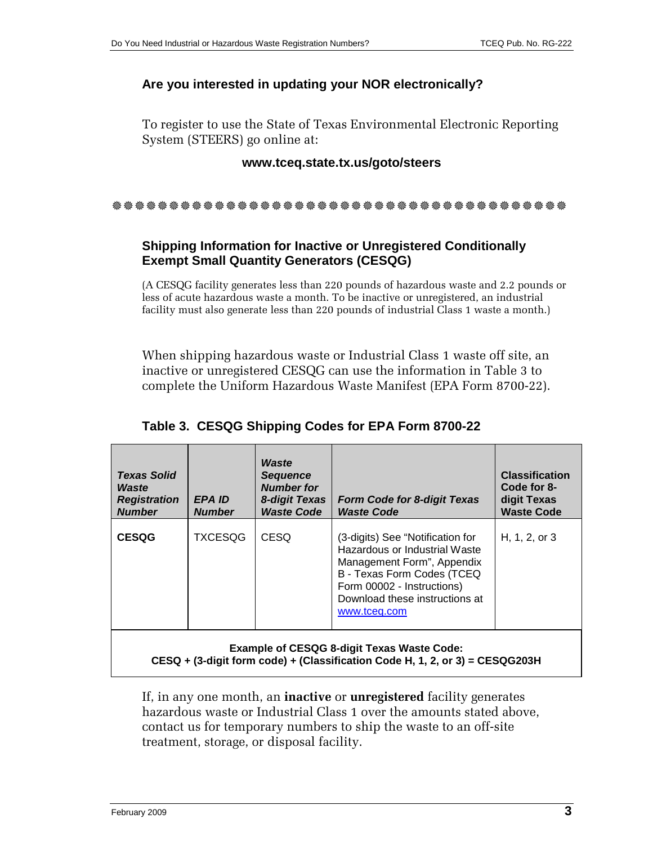#### **Are you interested in updating your NOR electronically?**

To register to use the State of Texas Environmental Electronic Reporting System (STEERS) go online at:

#### **www.tceq.state.tx.us/goto/steers**

## **Shipping Information for Inactive or Unregistered Conditionally Exempt Small Quantity Generators (CESQG)**

(A CESQG facility generates less than 220 pounds of hazardous waste and 2.2 pounds or less of acute hazardous waste a month. To be inactive or unregistered, an industrial facility must also generate less than 220 pounds of industrial Class 1 waste a month.)

When shipping hazardous waste or Industrial Class 1 waste off site, an inactive or unregistered CESQG can use the information in Table 3 to complete the Uniform Hazardous Waste Manifest (EPA Form 8700-22).

| <b>Texas Solid</b><br>Waste<br><b>Registration</b><br><b>Number</b>                                                               | <b>EPA ID</b><br><b>Number</b> | Waste<br><b>Sequence</b><br><b>Number for</b><br>8-digit Texas<br><b>Waste Code</b> | <b>Form Code for 8-digit Texas</b><br><b>Waste Code</b>                                                                                                                                                       | <b>Classification</b><br>Code for 8-<br>digit Texas<br><b>Waste Code</b> |  |
|-----------------------------------------------------------------------------------------------------------------------------------|--------------------------------|-------------------------------------------------------------------------------------|---------------------------------------------------------------------------------------------------------------------------------------------------------------------------------------------------------------|--------------------------------------------------------------------------|--|
| <b>CESQG</b>                                                                                                                      | TXCESQG                        | <b>CESQ</b>                                                                         | (3-digits) See "Notification for<br>Hazardous or Industrial Waste<br>Management Form", Appendix<br>B - Texas Form Codes (TCEQ<br>Form 00002 - Instructions)<br>Download these instructions at<br>www.tceg.com | H, 1, 2, or 3                                                            |  |
| <b>Example of CESQG 8-digit Texas Waste Code:</b><br>CESQ + (3-digit form code) + (Classification Code H, 1, 2, or 3) = CESQG203H |                                |                                                                                     |                                                                                                                                                                                                               |                                                                          |  |

### **Table 3. CESQG Shipping Codes for EPA Form 8700-22**

If, in any one month, an **inactive** or **unregistered** facility generates hazardous waste or Industrial Class 1 over the amounts stated above, contact us for temporary numbers to ship the waste to an off-site treatment, storage, or disposal facility.